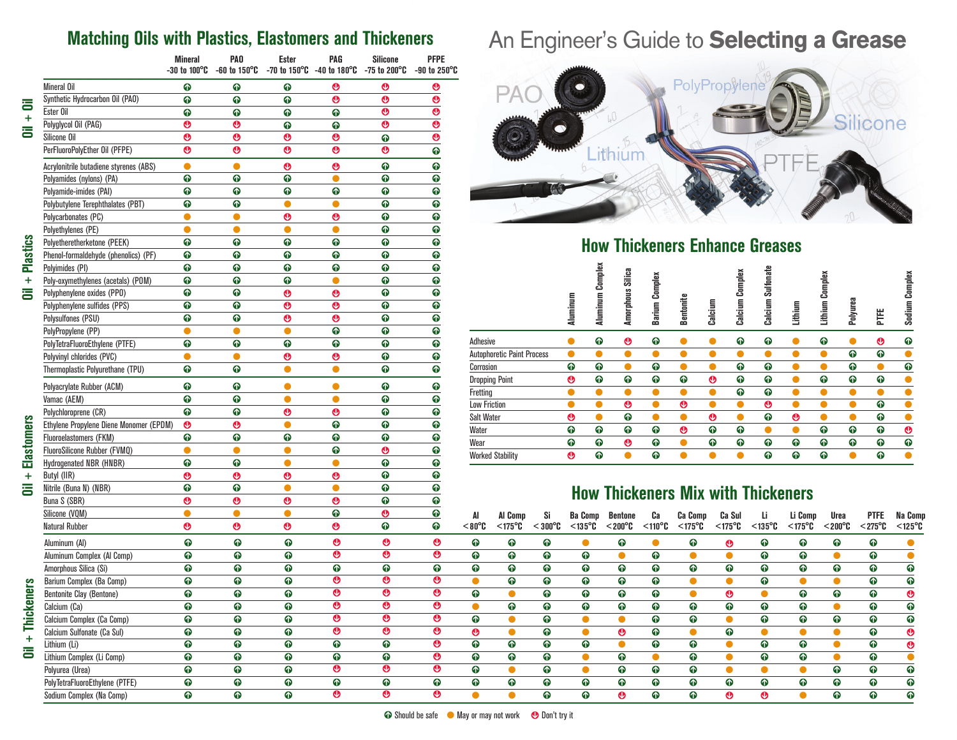### **Matching Oils with Plastics, Elastomers and Thickeners**

|                                         | <b>Mineral</b><br>$-30$ to 100 $^{\circ}$ C | PAO<br>$-60$ to 150 $^{\circ}$ C | Ester                 | PAG<br>$-70$ to $150^{\circ}$ C $-40$ to $180^{\circ}$ C | <b>Silicone</b><br>-75 to 200°C | <b>PFPE</b><br>-90 to 250 $^{\circ}$ C |
|-----------------------------------------|---------------------------------------------|----------------------------------|-----------------------|----------------------------------------------------------|---------------------------------|----------------------------------------|
| <b>Mineral Oil</b>                      | ➊                                           | ➊                                | ➊                     | ◉                                                        | ℗                               | ิฺู                                    |
| Synthetic Hydrocarbon Oil (PAO)         | ➊                                           | ➊                                | ➊                     | ◉                                                        | ℗                               | ◉                                      |
| Ester Oil                               | ➊                                           | ➊                                | ➊                     | ⊕                                                        | ◉                               | $\ddot{\text{o}}$                      |
| Polyglycol Oil (PAG)                    | ℗                                           | ◉                                | ➊                     | ➊                                                        | ◉                               | $\bullet$                              |
| Silicone Oil                            | ❻                                           | ℗                                | ◉                     | ◉                                                        | $\ddot{\text{o}}$               | ℗                                      |
| PerFluoroPolyEther Oil (PFPE)           | ℗                                           | ◉                                | ◉                     | ◉                                                        | ◍                               | ➊                                      |
| Acrylonitrile butadiene styrenes (ABS)  | O                                           | 0                                | $\boldsymbol{\Theta}$ | ◉                                                        | ➊                               | ➊                                      |
| Polyamides (nylons) (PA)                | ➊                                           | ➊                                | ➊                     |                                                          | ➊                               | ➊                                      |
| Polyamide-imides (PAI)                  | ➊                                           | ➊                                | ➊                     | ➊                                                        | ➊                               | ➊                                      |
| Polybutylene Terephthalates (PBT)       | ➊                                           | ➊                                | О                     | О                                                        | $\ddot{\mathbf{0}}$             | ➊                                      |
| Polycarbonates (PC)                     | O                                           | 0                                | ◉                     | ◉                                                        | ➊                               | ➊                                      |
| Polyethylenes (PE)                      |                                             | O                                |                       |                                                          | ➊                               | ➊                                      |
| Polyetheretherketone (PEEK)             | ➊                                           | ➊                                | ➊                     | ➊                                                        | ➊                               | ➊                                      |
| Phenol-formaldehyde (phenolics) (PF)    | ➊                                           | ➊                                | $\bullet$             | $\bullet$                                                | $\ddot{\mathbf{0}}$             | ➊                                      |
| Polyimides (PI)                         | ➊                                           | ➊                                | ➊                     | ➊                                                        | ➊                               | ➊                                      |
| Poly-oxymethylenes (acetals) (POM)      | ➊                                           | ➊                                | ➊                     |                                                          | ➊                               | ➊                                      |
| Polyphenylene oxides (PPO)              | ➊                                           | ➊                                | ◉                     | ℗                                                        | ➊                               | ➊                                      |
| Polyphenylene sulfides (PPS)            | ➊                                           | ➊                                | $\boldsymbol{\Theta}$ | ◉                                                        | $\ddot{\mathbf{0}}$             | ➊                                      |
| Polysulfones (PSU)                      | ➊                                           | ➊                                | $\boldsymbol{\Theta}$ | $\boldsymbol{\Theta}$                                    | ➊                               | ➊                                      |
| PolyPropylene (PP)                      |                                             | c                                |                       | ➊                                                        | ➊                               | ➊                                      |
| PolyTetraFluoroEthylene (PTFE)          | ➊                                           | ➊                                | ➊                     | $\bullet$                                                | $\ddot{\mathbf{0}}$             | ➊                                      |
| Polyvinyl chlorides (PVC)               |                                             | O                                | $\boldsymbol{\Theta}$ | ◉                                                        | ➊                               | ➊                                      |
| Thermoplastic Polyurethane (TPU)        | ➊                                           | ➊                                | O                     | Ο                                                        | ➊                               | ➊                                      |
|                                         |                                             |                                  |                       |                                                          |                                 |                                        |
| Polyacrylate Rubber (ACM)               | ➊                                           | ➊                                | O                     | Ο                                                        | ➊                               | ➊                                      |
| Vamac (AEM)                             | ➊                                           | ➊                                | $\bullet$             | $\bullet$                                                | ➊                               | ➊                                      |
| Polychloroprene (CR)                    | ➊                                           | ➊                                | ◉                     | ◉                                                        | ➊                               | ➊                                      |
| Ethylene Propylene Diene Monomer (EPDM) | ℗                                           | ℗                                |                       | ➊                                                        | ➊                               | ➊                                      |
| <b>Fluoroelastomers (FKM)</b>           | ➊                                           | ➊                                | ➊                     | $\bullet$                                                | ➊                               | ➊                                      |
| FluoroSilicone Rubber (FVMQ)            | O                                           | ●                                | O                     | ➊                                                        | $\ddot{\mathbf{0}}$             | ➊                                      |
| <b>Hydrogenated NBR (HNBR)</b>          | ➊                                           | ➊                                | e                     |                                                          | ➊                               | ➊                                      |
| Butyl (IIR)                             | ℗                                           | ℗                                | ◉                     | ◉                                                        | ➊                               | ➊                                      |
| Nitrile (Buna N) (NBR)                  | ➊                                           | ➊                                | Ο                     | ◠                                                        | ➊                               | ➊                                      |
| Buna S (SBR)                            | ً                                           | $\bullet$                        | $\boldsymbol{\Theta}$ | ◉                                                        | $\ddot{\text{o}}$               | ➊                                      |
| Silicone (VQM)                          |                                             | O                                | Ο                     | ➊                                                        | ℗                               | ➊                                      |
| <b>Natural Rubber</b>                   | ℗                                           | ◉                                | ◉                     | ◉                                                        | ➊                               | ➊                                      |
| Aluminum (Al)                           | ➊                                           | ➊                                | ➊                     | ◉                                                        | ◉                               | ◉                                      |
| Aluminum Complex (Al Comp)              | ➊                                           | ➊                                | ➊                     | $\boldsymbol{\Theta}$                                    | $\bullet$                       | $\bullet$                              |
| Amorphous Silica (Si)                   | ➊                                           | ⊕                                | $\ddot{\text{o}}$     | ➊                                                        | $\ddot{\text{o}}$               | $\ddot{\text{o}}$                      |
| Barium Complex (Ba Comp)                | ➊                                           | $\bullet$                        | $\ddot{\text{o}}$     | $\bullet$                                                | $\bullet$                       | $\boldsymbol{\Omega}$                  |
| <b>Bentonite Clay (Bentone)</b>         | ➊                                           | ➊                                | ➊                     | ً                                                        | $\boldsymbol{\Theta}$           | $\boldsymbol{\Omega}$                  |
| Calcium (Ca)                            | ⊕                                           | ➊                                | ➊                     | $\boldsymbol{\Theta}$                                    | $\boldsymbol{\Theta}$           | $\boldsymbol{\Theta}$                  |
| Calcium Complex (Ca Comp)               | ➊                                           | ➊                                | ➊                     | $\overline{\mathbf{e}}$                                  | $\overline{\mathbf{e}}$         | $\bullet$                              |
| Calcium Sulfonate (Ca Sul)              | ⊕                                           | $\ddot{\text{o}}$                | $\ddot{\text{o}}$     | $\overline{\mathbf{e}}$                                  | $\bullet$                       | $\bullet$                              |
| Lithium (Li)                            | ➊                                           | ➊                                | ➊                     | ➊                                                        | ➊                               | ◉                                      |
| Lithium Complex (Li Comp)               | ➊                                           | ➊                                | ➊                     | ⊕                                                        | ➊                               | $\boldsymbol{\Theta}$                  |
| Polyurea (Urea)                         | ⊕                                           | ⊕                                | ➊                     | $\bullet$                                                | $\bullet$                       | $\bullet$                              |
| PolyTetraFluoroEthylene (PTFE)          | ➊                                           | $\ddot{\text{o}}$                | $\ddot{\text{o}}$     | $\bullet$                                                | ➊                               | ➊                                      |
| Sodium Complex (Na Comp)                | ⊕                                           | $\bullet$                        | ⊕                     | $\bullet$                                                | $\bullet$                       | ◉                                      |

## An Engineer's Guide to **Selecting a Grease**



### **How Thickeners Enhance Greases**

|                                   | Aluminum              | Complex<br>Aluminum | Silica<br>Amorphous   | Complex<br>Barium | Bentonite             | Calcium               | Complex<br>Calcium | Sulfonate<br>Calcium | Lithium               | Complex<br>Lithium | Polyurea  | Ë                     | Complex<br>Sodium |
|-----------------------------------|-----------------------|---------------------|-----------------------|-------------------|-----------------------|-----------------------|--------------------|----------------------|-----------------------|--------------------|-----------|-----------------------|-------------------|
| Adhesive                          |                       | ➊                   | $\boldsymbol{\Theta}$ | ⋒                 |                       |                       | ⊕                  | ➊                    |                       | ➊                  |           | $\boldsymbol{\Theta}$ | ⊕                 |
| <b>Autophoretic Paint Process</b> |                       |                     |                       |                   |                       |                       |                    |                      |                       | o                  | ⊕         | ⊕                     |                   |
| Corrosion                         | ⋒                     | ➊                   |                       | ➊                 |                       |                       | ➊                  | ➊                    |                       |                    | ⊕         |                       | $\ddot{\text{o}}$ |
| <b>Dropping Point</b>             | $\boldsymbol{\Theta}$ | $\bullet$           | ⊕                     | ⊕                 | $\bullet$             | $\boldsymbol{\Theta}$ | ⊕                  | $\bullet$            |                       | ➊                  | $\bullet$ | ⊕                     | ●                 |
| Fretting                          |                       |                     |                       |                   |                       |                       | ⊕                  | ⊕                    |                       |                    |           |                       |                   |
| <b>Low Friction</b>               |                       |                     | $\boldsymbol{\Theta}$ |                   | $\boldsymbol{\Theta}$ |                       |                    | ◉                    |                       |                    |           | ⊕                     |                   |
| <b>Salt Water</b>                 | $\boldsymbol{\Theta}$ |                     | ⊕                     |                   |                       | $\boldsymbol{\Theta}$ |                    | ⊕                    | $\boldsymbol{\Theta}$ |                    |           | ⊕                     |                   |
| Water                             | ⋒                     | $\bullet$           | ⊕                     | ⋒                 | $\boldsymbol{\Theta}$ | ➊                     | ⋒                  |                      |                       | ➊                  | $\bullet$ | ⊕                     | $\bullet$         |
| Wear                              | $\bullet$             | $\bullet$           | $\bullet$             | ⊕                 |                       | ⊕                     | ⊕                  | ➊                    | ⊕                     | ➊                  | $\bullet$ | ⊕                     | $\ddot{\text{o}}$ |
| <b>Worked Stability</b>           | $\boldsymbol{\Theta}$ | $\bullet$           |                       | ⋒                 |                       |                       |                    | ⊕                    | ⊕                     | ➊                  |           | ⊕                     | €                 |
|                                   |                       |                     |                       |                   |                       |                       |                    |                      |                       |                    |           |                       |                   |

#### **How Thickeners Mix with Thickeners**

| Silicone (VQM)                  |                       |   |                       | ⊕                     |                       |                       |               | Al Comp              |                      | <b>Ba Comp</b>       | Bentone   | Ca                | <b>Ca Comp</b>       | Ca Sul               | Li                   | Li Comp              | Urea      | <b>PTFE</b>          | Na Comp               |
|---------------------------------|-----------------------|---|-----------------------|-----------------------|-----------------------|-----------------------|---------------|----------------------|----------------------|----------------------|-----------|-------------------|----------------------|----------------------|----------------------|----------------------|-----------|----------------------|-----------------------|
| Natural Rubber                  | $\boldsymbol{\Theta}$ | ⊕ | $\boldsymbol{\Theta}$ | $\boldsymbol{\Theta}$ | ⋒                     | ⋒                     | $3^{\circ}08$ | $<$ 175 $^{\circ}$ C | $<$ 300 $^{\circ}$ C | $<$ 135 $^{\circ}$ C | $<$ 200°C | $< 110^{\circ}$ C | $<$ 175 $^{\circ}$ C | $<$ 175 $^{\circ}$ C | $<$ 135 $^{\circ}$ C | $<$ 175 $^{\circ}$ C | $<$ 200°C | $<$ 275 $^{\circ}$ C | $<$ 125 $^{\circ}$ C  |
| Aluminum (Al)                   | $\bullet$             | ➊ | ⊕                     | $\boldsymbol{\Theta}$ | $\boldsymbol{\Theta}$ |                       | ⋒             |                      |                      |                      |           |                   |                      |                      |                      | ⊕                    |           | ⋒                    |                       |
| Aluminum Complex (Al Comp)      | ⋒                     | ⋒ | ⋒                     | $\boldsymbol{\Theta}$ | $\boldsymbol{\Theta}$ | $\bullet$             | ⋒             | ⋒                    | ⋒                    | ⋒                    |           | ⋒                 |                      |                      |                      | ⋒                    |           | ⋒                    |                       |
| Amorphous Silica (Si)           | ⋒                     | ⋒ | ⋒                     | ⋒                     | ⋒                     | ⋒                     | ⋒             | $\bullet$            | ⋒                    | $\bullet$            |           | $\bullet$         |                      | ⊕                    |                      | ⊕                    | ω         | ⋒                    |                       |
| Barium Complex (Ba Comp)        | ⋒                     | ⋒ | ⋒                     | $\bullet$             | $\boldsymbol{\Theta}$ | Ø                     |               | ω                    | ⋒                    | ⋒                    | ⋒         | ⋒                 |                      |                      |                      |                      |           | ⋒                    | ⋒                     |
| <b>Bentonite Clay (Bentone)</b> | ⋒                     | ⋒ | ⋒                     | $\boldsymbol{\Theta}$ | $\boldsymbol{\Theta}$ | $\boldsymbol{\Theta}$ | ⋒             |                      | ⋒                    | ⋒                    | Ы         | ⋒                 |                      |                      |                      | ⋒                    | ω         | ⋒                    |                       |
| Calcium (Ca)                    | ⋒                     | ⋒ | ⋒                     | $\boldsymbol{\Theta}$ | $\boldsymbol{\Theta}$ | Ø                     |               | $\bullet$            | ⋒                    | ⋒                    | ω         | ⋒                 | ω                    | $\bullet$            | 41                   | ⋒                    |           | ⋒                    | ⋒                     |
| Calcium Complex (Ca Comp)       | ⋒                     | ⋒ | ⋒                     | $\boldsymbol{\Theta}$ | $\boldsymbol{\Theta}$ | $\boldsymbol{\odot}$  | ⋒             |                      | ⋒                    |                      |           | ⋒                 |                      |                      |                      | ⋒                    | ⋒         | ⋒                    | ⋒                     |
| Calcium Sulfonate (Ca Sul)      | ⋒                     | ⋒ | ⋒                     | $\boldsymbol{\Theta}$ | $\boldsymbol{\Theta}$ | $\boldsymbol{\omega}$ | Θ             |                      | ⋒                    |                      | w         | $\bullet$         |                      | ω                    |                      |                      |           | ⋒                    | $\boldsymbol{\Theta}$ |
| Lithium (Li)                    | ⋒                     | ➊ | ⋒                     | ⋒                     | ⋒                     | $\bullet$             | ⋒             | ⋒                    | ⋒                    | ⋒                    |           | ⋒                 |                      |                      |                      | ⋒                    |           | ⋒                    |                       |
| Lithium Complex (Li Comp)       | ⋒                     | ⋒ | ⋒                     | ⋒                     | ⋒                     | Ø                     | ⋒             | ⋒                    | ⋒                    |                      |           |                   |                      |                      |                      | ⋒                    |           | ⋒                    |                       |
| Polyurea (Urea)                 | ⋒                     | ➊ | ⋒                     | $\boldsymbol{\Theta}$ | $\boldsymbol{\Theta}$ | $\boldsymbol{\odot}$  | ⋒             |                      | ⋒                    |                      | ⋒         | ⋒                 |                      |                      |                      |                      | ⋒         | ⋒                    | ⋒                     |
| PolyTetraFluoroEthylene (PTFE)  | ⋒                     | ⋒ | ⋒                     | $\bullet$             | ⋒                     | ⋒                     | $\bullet$     | ⋒                    | ⋒                    | ⋒                    |           | ⋒                 |                      | ⋒                    |                      | ⋒                    | ⋒         | ⋒                    |                       |
| Sodium Complex (Na Comp)        | ⋒                     | ⋒ | $\bullet$             | $\boldsymbol{\Theta}$ | $\boldsymbol{\Theta}$ | $\boldsymbol{\Theta}$ |               |                      | ⋒                    | ⋒                    |           | $\bullet$         | ⋒                    | ⊕                    |                      |                      | ⋒         | $\bullet$            | ⋒                     |
|                                 |                       |   |                       |                       |                       |                       |               |                      |                      |                      |           |                   |                      |                      |                      |                      |           |                      |                       |